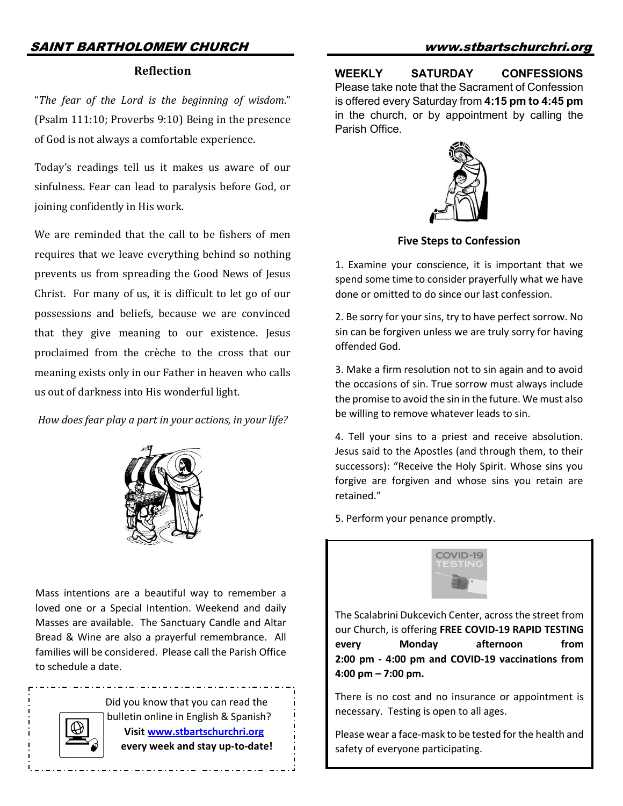## SAINT BARTHOLOMEW CHURCH www.stbartschurchri.org

#### **Reflection**

"The fear of the Lord is the beginning of wisdom." (Psalm  $111:10$ ; Proverbs  $9:10$ ) Being in the presence of God is not always a comfortable experience.

Today's readings tell us it makes us aware of our sinfulness. Fear can lead to paralysis before God, or joining confidently in His work.

We are reminded that the call to be fishers of men requires that we leave everything behind so nothing prevents us from spreading the Good News of Jesus Christ. For many of us, it is difficult to let go of our possessions and beliefs, because we are convinced that they give meaning to our existence. Jesus proclaimed from the crèche to the cross that our meaning exists only in our Father in heaven who calls us out of darkness into His wonderful light.

How does fear play a part in your actions, in your life?



Mass intentions are a beautiful way to remember a loved one or a Special Intention. Weekend and daily Masses are available. The Sanctuary Candle and Altar Bread & Wine are also a prayerful remembrance. All families will be considered. Please call the Parish Office to schedule a date.

> Did you know that you can read the bulletin online in English & Spanish? **Visit www.stbartschurchri.org**

 **every week and stay up-to-date!**

**WEEKLY SATURDAY CONFESSIONS** Please take note that the Sacrament of Confession is offered every Saturday from **4:15 pm to 4:45 pm**  in the church, or by appointment by calling the Parish Office.



**Five Steps to Confession**

1. Examine your conscience, it is important that we spend some time to consider prayerfully what we have done or omitted to do since our last confession.

2. Be sorry for your sins, try to have perfect sorrow. No sin can be forgiven unless we are truly sorry for having offended God.

3. Make a firm resolution not to sin again and to avoid the occasions of sin. True sorrow must always include the promise to avoid the sin in the future. We must also be willing to remove whatever leads to sin.

4. Tell your sins to a priest and receive absolution. Jesus said to the Apostles (and through them, to their successors): "Receive the Holy Spirit. Whose sins you forgive are forgiven and whose sins you retain are retained."

5. Perform your penance promptly.



The Scalabrini Dukcevich Center, across the street from our Church, is offering **FREE COVID-19 RAPID TESTING every Monday afternoon from 2:00 pm - 4:00 pm and COVID-19 vaccinations from 4:00 pm – 7:00 pm.** 

There is no cost and no insurance or appointment is necessary. Testing is open to all ages.

Please wear a face-mask to be tested for the health and safety of everyone participating.